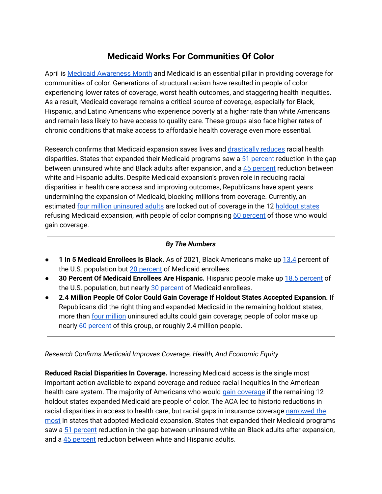## **Medicaid Works For Communities Of Color**

April is Medicaid [Awareness](https://www.medicaidawareness.com/) Month and Medicaid is an essential pillar in providing coverage for communities of color. Generations of structural racism have resulted in people of color experiencing lower rates of coverage, worst health outcomes, and staggering health inequities. As a result, Medicaid coverage remains a critical source of coverage, especially for Black, Hispanic, and Latino Americans who experience poverty at a higher rate than white Americans and remain less likely to have access to quality care. These groups also face higher rates of chronic conditions that make access to affordable health coverage even more essential.

Research confirms that Medicaid expansion saves lives and [drastically](https://www.cbpp.org/research/health/medicaid-expansion-has-helped-narrow-racial-disparities-in-health-coverage-and) reduces racial health disparities. States that expanded their Medicaid programs saw a 51 [percent](https://www.cbpp.org/research/health/medicaid-expansion-has-helped-narrow-racial-disparities-in-health-coverage-and) reduction in the gap between uninsured white and Black adults after expansion, and a 45 [percent](https://www.cbpp.org/research/health/medicaid-expansion-has-helped-narrow-racial-disparities-in-health-coverage-and) reduction between white and Hispanic adults. Despite Medicaid expansion's proven role in reducing racial disparities in health care access and improving outcomes, Republicans have spent years undermining the expansion of Medicaid, blocking millions from coverage. Currently, an estimated four million [uninsured](https://www.kff.org/medicaid/issue-brief/the-coverage-gap-uninsured-poor-adults-in-states-that-do-not-expand-medicaid/) adults are locked out of coverage in the 12 [holdout](https://www.kff.org/medicaid/issue-brief/status-of-state-medicaid-expansion-decisions-interactive-map/) states refusing Medicaid expansion, with people of color comprising 60 [percent](https://www.cbpp.org/research/health/medicaid-expansion-has-helped-narrow-racial-disparities-in-health-coverage-and) of those who would gain coverage.

## *By The Numbers*

- **1 In 5 Medicaid Enrollees Is Black.** As of 2021, Black Americans make up [13.4](https://www.census.gov/quickfacts/fact/table/US/PST045219#headnote-js-a) percent of the U.S. population but 20 [percent](https://www.kff.org/medicaid/state-indicator/distribution-by-raceethnicity-4/?currentTimeframe=0&sortModel=%7B%22colId%22:%22Location%22,%22sort%22:%22asc%22%7D) of Medicaid enrollees.
- **30 Percent Of Medicaid Enrollees Are Hispanic.** Hispanic people make up 18.5 [percent](https://www.census.gov/quickfacts/fact/table/US/PST045219#headnote-js-a) of the U.S. population, but nearly 30 [percent](https://www.kff.org/medicaid/state-indicator/distribution-by-raceethnicity-4/?currentTimeframe=0&sortModel=%7B%22colId%22:%22Location%22,%22sort%22:%22asc%22%7D) of Medicaid enrollees.
- **2.4 Million People Of Color Could Gain Coverage If Holdout States Accepted Expansion.** If Republicans did the right thing and expanded Medicaid in the remaining holdout states, more than four [million](https://www.cbpp.org/research/health/house-bill-gives-states-incentive-to-quickly-expand-medicaid-cover-millions-of#_ftnref7) uninsured adults could gain coverage; people of color make up nearly 60 [percent](https://www.cbpp.org/research/health/medicaid-expansion-has-helped-narrow-racial-disparities-in-health-coverage-and) of this group, or roughly 2.4 million people.

## *Research Confirms Medicaid Improves Coverage, Health, And Economic Equity*

**Reduced Racial Disparities In Coverage.** Increasing Medicaid access is the single most important action available to expand coverage and reduce racial inequities in the American health care system. The majority of Americans who would gain [coverage](https://www.cbpp.org/research/health/medicaid-expansion-has-helped-narrow-racial-disparities-in-health-coverage-and) if the remaining 12 holdout states expanded Medicaid are people of color. The ACA led to historic reductions in racial disparities in access to health care, but racial gaps in insurance coverage [narrowed](https://www.commonwealthfund.org/publications/2020/jan/how-ACA-narrowed-racial-ethnic-disparities-access?utm_campaign=the_health_202&utm_medium=Email&utm_source=Newsletter&wpisrc=nl_health202&wpmm=1) the [most](https://www.commonwealthfund.org/publications/2020/jan/how-ACA-narrowed-racial-ethnic-disparities-access?utm_campaign=the_health_202&utm_medium=Email&utm_source=Newsletter&wpisrc=nl_health202&wpmm=1) in states that adopted Medicaid expansion. States that expanded their Medicaid programs saw a 51 [percent](https://www.cbpp.org/research/health/medicaid-expansion-has-helped-narrow-racial-disparities-in-health-coverage-and) reduction in the gap between uninsured white an Black adults after expansion, and a 45 [percent](https://www.cbpp.org/research/health/medicaid-expansion-has-helped-narrow-racial-disparities-in-health-coverage-and) reduction between white and Hispanic adults.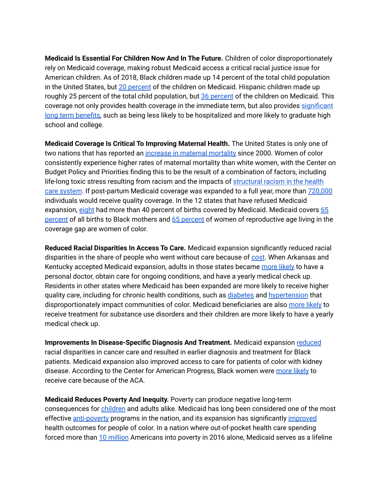**Medicaid Is Essential For Children Now And In The Future.** Children of color disproportionately rely on Medicaid coverage, making robust Medicaid access a critical racial justice issue for American children. As of 2018, Black children made up 14 percent of the total child population in the United States, but 20 [percent](https://ccf.georgetown.edu/wp-content/uploads/2020/07/Snapshot-Medicaid-kids-race-ethnicity-v4.pdf) of the children on Medicaid. Hispanic children made up roughly 25 percent of the total child population, but 36 [percent](https://ccf.georgetown.edu/wp-content/uploads/2020/07/Snapshot-Medicaid-kids-race-ethnicity-v4.pdf) of the children on Medicaid. This coverage not only provides health coverage in the immediate term, but also provides [significant](https://www.cbpp.org/research/health/expanding-medicaid-for-parents-improves-coverage-and-health-for-both-parents-and) long term [benefits,](https://www.cbpp.org/research/health/expanding-medicaid-for-parents-improves-coverage-and-health-for-both-parents-and) such as being less likely to be hospitalized and more likely to graduate high school and college.

**Medicaid Coverage Is Critical To Improving Maternal Health.** The United States is only one of two nations that has reported an increase in maternal [mortality](https://www.commonwealthfund.org/publications/issue-brief-report/2020/dec/maternal-mortality-united-states-primer) since 2000. Women of color consistently experience higher rates of maternal mortality than white women, with the Center on Budget Policy and Priorities finding this to be the result of a combination of factors, including life-long toxic stress resulting from racism and the impacts of [structural](https://www.cbpp.org/research/health/closing-the-coverage-gap-would-improve-black-maternal-health) racism in the health care [system](https://www.cbpp.org/research/health/closing-the-coverage-gap-would-improve-black-maternal-health). If post-partum Medicaid coverage was expanded to a full year, more than [720,000](https://www.whitehouse.gov/briefing-room/statements-releases/2021/12/07/fact-sheet-vice-president-kamala-harris-announces-call-to-action-to-reduce-maternal-mortality-and-morbidity/) individuals would receive quality coverage. In the 12 states that have refused Medicaid expansion, [eight](https://www.kff.org/medicaid/state-indicator/births-financed-by-medicaid/?currentTimeframe=0&selectedRows=%7B%22states%22:%7B%22alabama%22:%7B%7D,%22florida%22:%7B%7D,%22georgia%22:%7B%7D,%22mississippi%22:%7B%7D,%22south-carolina%22:%7B%7D,%22south-dakota%22:%7B%7D,%22wyoming%22:%7B%7D,%22wisconsin%22:%7B%7D,%22texas%22:%7B%7D,%22tennessee%22:%7B%7D,%22north-carolina%22:%7B%7D,%22kansas%22:%7B%7D%7D%7D&sortModel=%7B%22colId%22:%22Percent%20of%20Births%20Financed%20by%20Medicaid%22,%22sort%22:%22desc%22%7D) had more than 40 percent of births covered by Medicaid. Medicaid covers [65](https://www.cbpp.org/research/health/closing-the-coverage-gap-would-improve-black-maternal-health) [percent](https://www.cbpp.org/research/health/closing-the-coverage-gap-would-improve-black-maternal-health) of all births to Black mothers and 65 percent of women of reproductive age living in the coverage gap are women of color.

**Reduced Racial Disparities In Access To Care.** Medicaid expansion significantly reduced racial disparities in the share of people who went without care because of [cost](https://www.commonwealthfund.org/publications/2020/jan/how-ACA-narrowed-racial-ethnic-disparities-access?utm_campaign=the_health_202&utm_medium=Email&utm_source=Newsletter&wpisrc=nl_health202&wpmm=1). When Arkansas and Kentucky accepted Medicaid expansion, adults in those states became [more](https://www.cbpp.org/research/health/chart-book-the-far-reaching-benefits-of-the-affordable-care-acts-medicaid-expansion#2) likely to have a personal doctor, obtain care for ongoing conditions, and have a yearly medical check up. Residents in other states where Medicaid has been expanded are more likely to receive higher quality care, including for chronic health conditions, such as [diabetes](https://www.fda.gov/consumers/consumer-updates/fighting-diabetes-deadly-impact-minorities) and [hypertension](https://www.cdc.gov/pcd/issues/2017/16_0478.htm#:~:text=White%20adults%20had%20a%20significantly,and%2033.0%25%20for%20Hispanic%20adults.) that disproportionately impact communities of color. Medicaid beneficiaries are also [more](https://www.cbpp.org/research/health/chart-book-the-far-reaching-benefits-of-the-affordable-care-acts-medicaid-expansion#2) likely to receive treatment for substance use disorders and their children are more likely to have a yearly medical check up.

**Improvements In Disease-Specific Diagnosis And Treatment.** Medicaid expansion [reduced](https://www.washingtonpost.com/health/2019/06/02/aca-linked-reduced-racial-disparities-earlier-diagnosis-treatment-cancer-care/) racial disparities in cancer care and resulted in earlier diagnosis and treatment for Black patients. Medicaid expansion also improved access to care for patients of color with kidney disease. According to the Center for American Progress, Black women were [more](https://www.americanprogress.org/issues/race/news/2017/02/28/427050/5-things-you-need-to-know-about-the-affordable-care-act-and-african-americans/) likely to receive care because of the ACA.

**Medicaid Reduces Poverty And Inequity.** Poverty can produce negative long-term consequences for [children](https://www.cbpp.org/research/health/expanding-medicaid-for-parents-improves-coverage-and-health-for-both-parents-and) and adults alike. Medicaid has long been considered one of the most effective [anti-poverty](https://ccf.georgetown.edu/2018/03/08/research-update-medicaid-pulls-americans-out-of-poverty-updated-edition/) programs in the nation, and its expansion has significantly [improved](https://www.kff.org/medicaid/issue-brief/effects-of-the-aca-medicaid-expansion-on-racial-disparities-in-health-and-health-care/) health outcomes for people of color. In a nation where out-of-pocket health care spending forced more than 10 [million](https://www.healthaffairs.org/doi/full/10.1377/hlthaff.2018.05155#:~:text=Abstract,%2Dof%2Dpocket%20medical%20spending.) Americans into poverty in 2016 alone, Medicaid serves as a lifeline